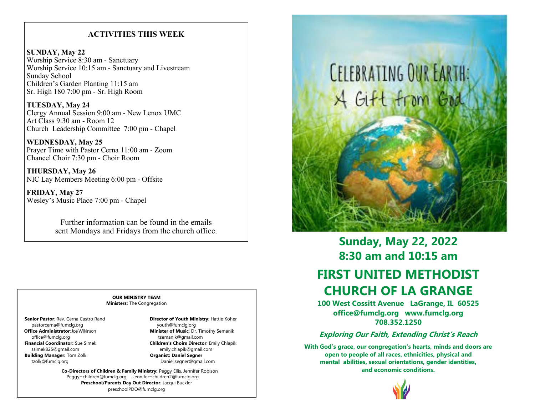# **ACTIVITIES THIS WEEK**

**SUNDAY, May 22** Worship Service 8:30 am - Sanctuary Worship Service 10:15 am - Sanctuary and Livestream Sunday School Children's Garden Planting 11:15 am Sr. High 180 7:00 pm - Sr. High Room

**TUESDAY, May 24** Clergy Annual Session 9:00 am - New Lenox UMC Art Class 9:30 am - Room 12 Church Leadership Committee 7:00 pm - Chapel

**WEDNESDAY, May 25** Prayer Time with Pastor Cerna 11:00 am - Zoom Chancel Choir 7:30 pm - Choir Room

**THURSDAY, May 26** NIC Lay Members Meeting 6:00 pm - Offsite

**FRIDAY, May 27** Wesley's Music Place 7:00 pm - Chapel

> Further information can be found in the emails sent Mondays and Fridays from the church office.

#### **OUR MINISTRY TEAM Ministers:** The Congregation

pastorcerna@fumclg.org vouth@fumclg.org youth@fumclg.org office@fumclg.org tsemanik@gmail.com<br> **Financial Coordinator:** Sue Simek<br> **Children's Choirs Directo** ssimek825@gmail.com emily.chlapik@gmail.com  **Building Manager:** Tom Zolk **Discription Construction Construction Organist: Daniel Segner** tzolk@fumclg.org Daniel.segner@gmail.com

 **Senior Pastor**: Rev. Cerna Castro Rand **Director of Youth Ministry**: Hattie Koher **Office Administrator**: Joe Wilkinson **Minister of Music**: Dr. Timothy Semanik **Children's Choirs Director: Emily Chlapik** 

> **Co-Directors of Children & Family Ministry:** Peggy Ellis, Jennifer Robison Peggy—children@fumclg.org Jennifer—children2@fumclg.org **Preschool/Parents Day Out Director**: Jacqui Buckler preschoolPDO@fumclg.org



# **Sunday, May 22, 2022 8:30 am and 10:15 am FIRST UNITED METHODIST CHURCH OF LA GRANGE**

**100 West Cossitt Avenue LaGrange, IL 60525 office@fumclg.org www.fumclg.org 708.352.1250**

# **Exploring Our Faith, Extending Christ's Reach**

**With God's grace, our congregation's hearts, minds and doors are open to people of all races, ethnicities, physical and mental abilities, sexual orientations, gender identities, and economic conditions.**